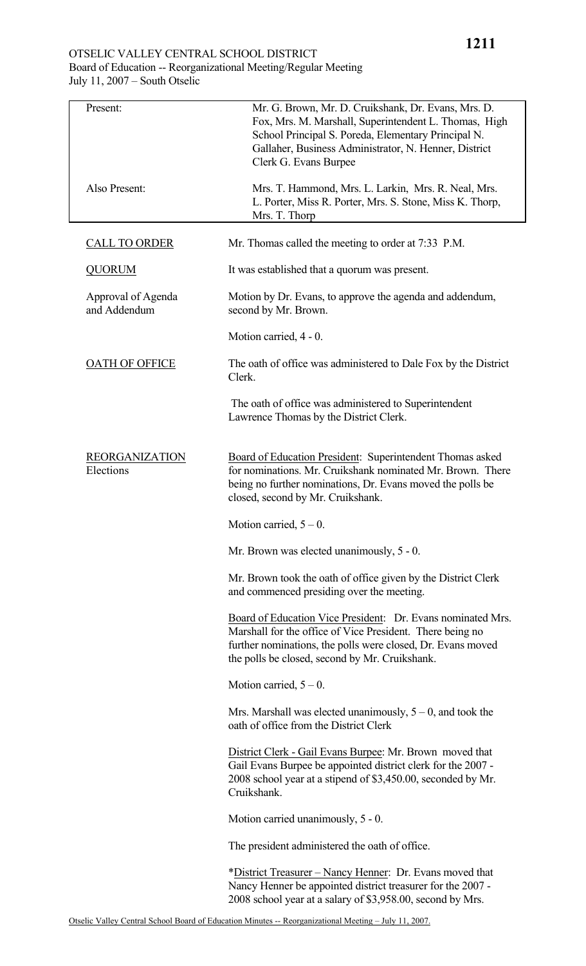# OTSELIC VALLEY CENTRAL SCHOOL DISTRICT Board of Education -- Reorganizational Meeting/Regular Meeting July 11, 2007 – South Otselic

| Present:                           | Mr. G. Brown, Mr. D. Cruikshank, Dr. Evans, Mrs. D.<br>Fox, Mrs. M. Marshall, Superintendent L. Thomas, High<br>School Principal S. Poreda, Elementary Principal N.<br>Gallaher, Business Administrator, N. Henner, District<br>Clerk G. Evans Burpee |
|------------------------------------|-------------------------------------------------------------------------------------------------------------------------------------------------------------------------------------------------------------------------------------------------------|
| Also Present:                      | Mrs. T. Hammond, Mrs. L. Larkin, Mrs. R. Neal, Mrs.<br>L. Porter, Miss R. Porter, Mrs. S. Stone, Miss K. Thorp,<br>Mrs. T. Thorp                                                                                                                      |
| <b>CALL TO ORDER</b>               | Mr. Thomas called the meeting to order at 7:33 P.M.                                                                                                                                                                                                   |
| <b>QUORUM</b>                      | It was established that a quorum was present.                                                                                                                                                                                                         |
| Approval of Agenda<br>and Addendum | Motion by Dr. Evans, to approve the agenda and addendum,<br>second by Mr. Brown.                                                                                                                                                                      |
|                                    | Motion carried, 4 - 0.                                                                                                                                                                                                                                |
| <b>OATH OF OFFICE</b>              | The oath of office was administered to Dale Fox by the District<br>Clerk.                                                                                                                                                                             |
|                                    | The oath of office was administered to Superintendent<br>Lawrence Thomas by the District Clerk.                                                                                                                                                       |
| <b>REORGANIZATION</b><br>Elections | Board of Education President: Superintendent Thomas asked<br>for nominations. Mr. Cruikshank nominated Mr. Brown. There<br>being no further nominations, Dr. Evans moved the polls be<br>closed, second by Mr. Cruikshank.                            |
|                                    | Motion carried, $5 - 0$ .                                                                                                                                                                                                                             |
|                                    | Mr. Brown was elected unanimously, 5 - 0.                                                                                                                                                                                                             |
|                                    | Mr. Brown took the oath of office given by the District Clerk<br>and commenced presiding over the meeting.                                                                                                                                            |
|                                    | Board of Education Vice President: Dr. Evans nominated Mrs.<br>Marshall for the office of Vice President. There being no<br>further nominations, the polls were closed, Dr. Evans moved<br>the polls be closed, second by Mr. Cruikshank.             |
|                                    | Motion carried, $5 - 0$ .                                                                                                                                                                                                                             |
|                                    | Mrs. Marshall was elected unanimously, $5 - 0$ , and took the<br>oath of office from the District Clerk                                                                                                                                               |
|                                    | District Clerk - Gail Evans Burpee: Mr. Brown moved that<br>Gail Evans Burpee be appointed district clerk for the 2007 -<br>2008 school year at a stipend of \$3,450.00, seconded by Mr.<br>Cruikshank.                                               |
|                                    | Motion carried unanimously, 5 - 0.                                                                                                                                                                                                                    |
|                                    | The president administered the oath of office.                                                                                                                                                                                                        |
|                                    | *District Treasurer – Nancy Henner: Dr. Evans moved that<br>Nancy Henner be appointed district treasurer for the 2007 -<br>2008 school year at a salary of \$3,958.00, second by Mrs.                                                                 |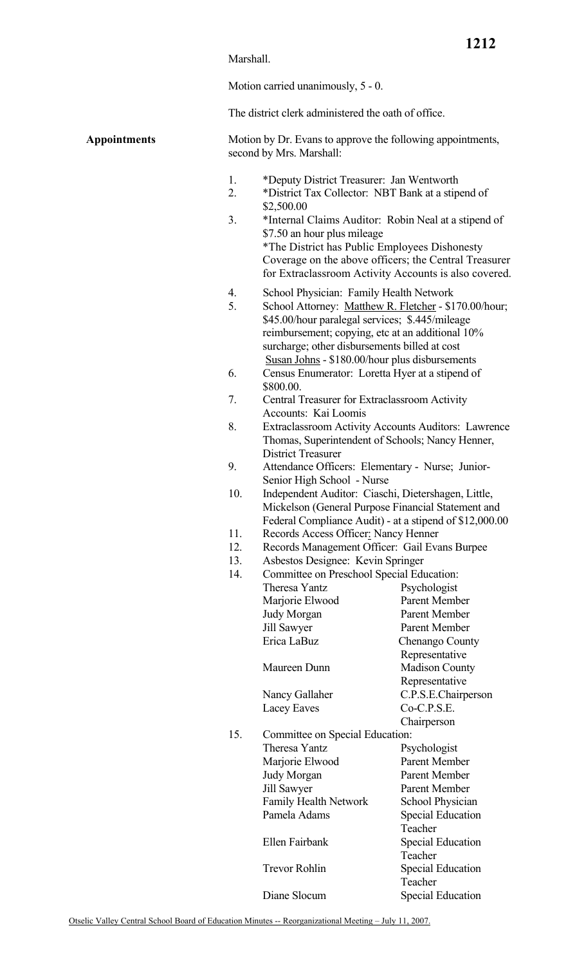### Marshall.

Motion carried unanimously, 5 - 0.

The district clerk administered the oath of office.

**Appointments** Motion by Dr. Evans to approve the following appointments, second by Mrs. Marshall:

- 1. \*Deputy District Treasurer: Jan Wentworth
- 2. \*District Tax Collector: NBT Bank at a stipend of \$2,500.00
- 3. \*Internal Claims Auditor: Robin Neal at a stipend of \$7.50 an hour plus mileage \*The District has Public Employees Dishonesty Coverage on the above officers; the Central Treasurer for Extraclassroom Activity Accounts is also covered.
- 4. School Physician: Family Health Network
- 5. School Attorney: Matthew R. Fletcher \$170.00/hour; \$45.00/hour paralegal services; \$.445/mileage reimbursement; copying, etc at an additional 10% surcharge; other disbursements billed at cost **Susan Johns - \$180.00/hour plus disbursements**
- 6. Census Enumerator: Loretta Hyer at a stipend of \$800.00.
- 7. Central Treasurer for Extraclassroom Activity Accounts: Kai Loomis
- 8. Extraclassroom Activity Accounts Auditors: Lawrence Thomas, Superintendent of Schools; Nancy Henner, District Treasurer
- 9. Attendance Officers: Elementary Nurse; Junior- Senior High School - Nurse
- 10. Independent Auditor: Ciaschi, Dietershagen, Little, Mickelson (General Purpose Financial Statement and Federal Compliance Audit) - at a stipend of \$12,000.00
- 11. Records Access Officer: Nancy Henner
- 12. Records Management Officer: Gail Evans Burpee
- 13. Asbestos Designee: Kevin Springer

| 14. | Committee on Preschool Special Education: |                          |  |
|-----|-------------------------------------------|--------------------------|--|
|     | Theresa Yantz                             | Psychologist             |  |
|     | Marjorie Elwood                           | Parent Member            |  |
|     | Judy Morgan                               | Parent Member            |  |
|     | Jill Sawyer                               | Parent Member            |  |
|     | Erica LaBuz                               | Chenango County          |  |
|     |                                           | Representative           |  |
|     | Maureen Dunn                              | <b>Madison County</b>    |  |
|     |                                           | Representative           |  |
|     | Nancy Gallaher                            | C.P.S.E.Chairperson      |  |
|     | Lacey Eaves                               | Co-C.P.S.E.              |  |
|     |                                           | Chairperson              |  |
| 15. | Committee on Special Education:           |                          |  |
|     | Theresa Yantz                             | Psychologist             |  |
|     | Marjorie Elwood                           | Parent Member            |  |
|     | Judy Morgan                               | Parent Member            |  |
|     | Jill Sawyer                               | Parent Member            |  |
|     | Family Health Network                     | School Physician         |  |
|     | Pamela Adams                              | <b>Special Education</b> |  |
|     |                                           | Teacher                  |  |
|     | Ellen Fairbank                            | <b>Special Education</b> |  |
|     |                                           | Teacher                  |  |
|     | <b>Trevor Rohlin</b>                      | <b>Special Education</b> |  |
|     |                                           | Teacher                  |  |
|     | Diane Slocum                              | <b>Special Education</b> |  |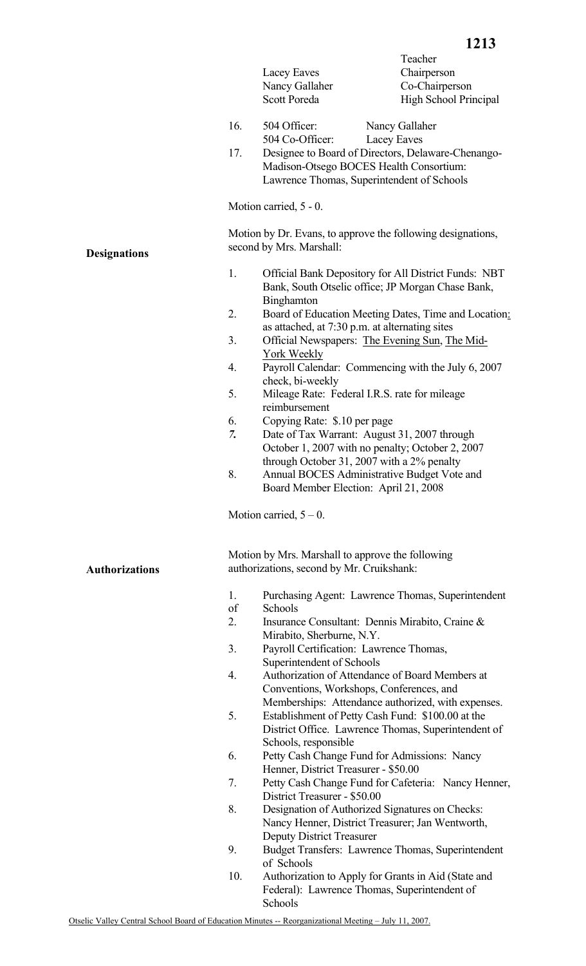|     |                             | 1213                                                        |
|-----|-----------------------------|-------------------------------------------------------------|
|     |                             | Teacher                                                     |
|     | Lacey Eaves                 | Chairperson                                                 |
|     | Nancy Gallaher              | Co-Chairperson                                              |
|     | <b>Scott Poreda</b>         | <b>High School Principal</b>                                |
| 16. | 504 Officer:                | Nancy Gallaher                                              |
|     | 504 Co-Officer: Lacey Eaves |                                                             |
| 17. |                             | Designee to Board of Directors, Delaware-Chenango-          |
|     |                             | Madison-Otsego BOCES Health Consortium:                     |
|     |                             | Lawrence Thomas, Superintendent of Schools                  |
|     | Motion carried, 5 - 0.      |                                                             |
|     | second by Mrs. Marshall:    | Motion by Dr. Evans, to approve the following designations, |
|     |                             |                                                             |

- 1. Official Bank Depository for All District Funds: NBT Bank, South Otselic office; JP Morgan Chase Bank, Binghamton
- 2. Board of Education Meeting Dates, Time and Location: as attached, at 7:30 p.m. at alternating sites
- 3. Official Newspapers: The Evening Sun, The Mid- York Weekly
- 4. Payroll Calendar: Commencing with the July 6, 2007 check, bi-weekly
- 5. Mileage Rate: Federal I.R.S. rate for mileage reimbursement
- 6. Copying Rate: \$.10 per page

- *7.* Date of Tax Warrant: August 31, 2007 through October 1, 2007 with no penalty; October 2, 2007 through October 31, 2007 with a 2% penalty
- 8. Annual BOCES Administrative Budget Vote and Board Member Election: April 21, 2008

Motion carried,  $5 - 0$ .

Motion by Mrs. Marshall to approve the following authorizations, second by Mr. Cruikshank:

- 1. Purchasing Agent: Lawrence Thomas, Superintendent
- of Schools
- 2. Insurance Consultant: Dennis Mirabito, Craine & Mirabito, Sherburne, N.Y.
- 3. Payroll Certification: Lawrence Thomas, Superintendent of Schools
- 4. Authorization of Attendance of Board Members at Conventions, Workshops, Conferences, and Memberships: Attendance authorized, with expenses.
- 5. Establishment of Petty Cash Fund: \$100.00 at the District Office. Lawrence Thomas, Superintendent of Schools, responsible
- 6. Petty Cash Change Fund for Admissions: Nancy Henner, District Treasurer - \$50.00
- 7. Petty Cash Change Fund for Cafeteria: Nancy Henner, District Treasurer - \$50.00
- 8. Designation of Authorized Signatures on Checks: Nancy Henner, District Treasurer; Jan Wentworth, Deputy District Treasurer
- 9. Budget Transfers: Lawrence Thomas, Superintendent of Schools
- 10. Authorization to Apply for Grants in Aid (State and Federal): Lawrence Thomas, Superintendent of Schools

**Authorizations** 

**Designations**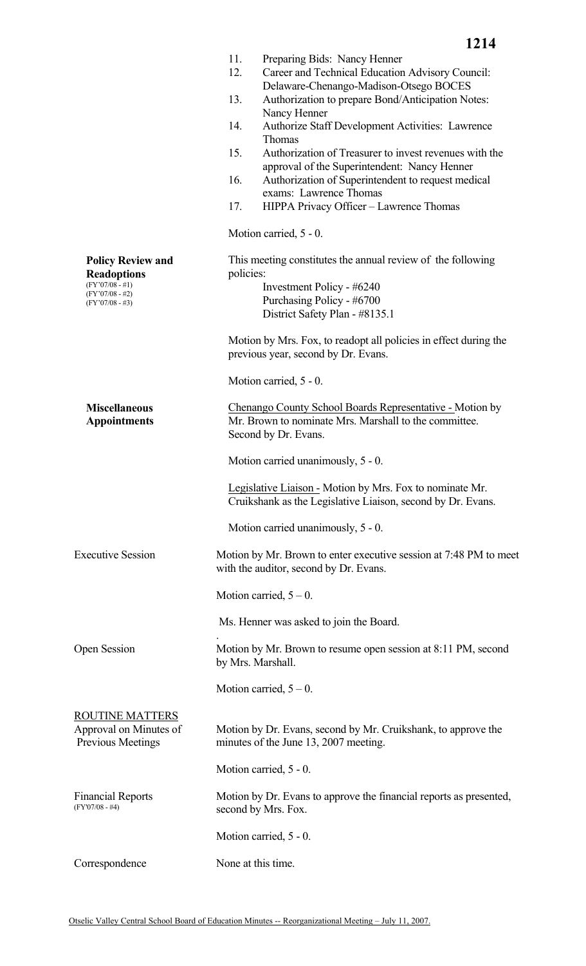|                                                                                                               | 11.<br>12.         | Preparing Bids: Nancy Henner<br>Career and Technical Education Advisory Council:<br>Delaware-Chenango-Madison-Otsego BOCES |  |
|---------------------------------------------------------------------------------------------------------------|--------------------|----------------------------------------------------------------------------------------------------------------------------|--|
|                                                                                                               | 13.                | Authorization to prepare Bond/Anticipation Notes:<br>Nancy Henner                                                          |  |
|                                                                                                               | 14.                | Authorize Staff Development Activities: Lawrence<br>Thomas                                                                 |  |
|                                                                                                               | 15.                | Authorization of Treasurer to invest revenues with the<br>approval of the Superintendent: Nancy Henner                     |  |
|                                                                                                               | 16.                | Authorization of Superintendent to request medical<br>exams: Lawrence Thomas                                               |  |
|                                                                                                               | 17.                | HIPPA Privacy Officer - Lawrence Thomas                                                                                    |  |
|                                                                                                               |                    | Motion carried, 5 - 0.                                                                                                     |  |
| <b>Policy Review and</b><br><b>Readoptions</b><br>$(FY'07/08 - #1)$<br>$(FY'07/08 - #2)$<br>$(FY'07/08 - #3)$ | policies:          | This meeting constitutes the annual review of the following<br>Investment Policy - #6240<br>Purchasing Policy - #6700      |  |
|                                                                                                               |                    | District Safety Plan - #8135.1                                                                                             |  |
|                                                                                                               |                    | Motion by Mrs. Fox, to readopt all policies in effect during the<br>previous year, second by Dr. Evans.                    |  |
|                                                                                                               |                    | Motion carried, 5 - 0.                                                                                                     |  |
| <b>Miscellaneous</b><br><b>Appointments</b><br>Second by Dr. Evans.                                           |                    | Chenango County School Boards Representative - Motion by<br>Mr. Brown to nominate Mrs. Marshall to the committee.          |  |
|                                                                                                               |                    | Motion carried unanimously, 5 - 0.                                                                                         |  |
|                                                                                                               |                    | Legislative Liaison - Motion by Mrs. Fox to nominate Mr.<br>Cruikshank as the Legislative Liaison, second by Dr. Evans.    |  |
|                                                                                                               |                    | Motion carried unanimously, 5 - 0.                                                                                         |  |
| <b>Executive Session</b>                                                                                      |                    | Motion by Mr. Brown to enter executive session at 7:48 PM to meet<br>with the auditor, second by Dr. Evans.                |  |
|                                                                                                               |                    | Motion carried, $5 - 0$ .                                                                                                  |  |
|                                                                                                               |                    | Ms. Henner was asked to join the Board.                                                                                    |  |
| Open Session                                                                                                  | by Mrs. Marshall.  | Motion by Mr. Brown to resume open session at 8:11 PM, second                                                              |  |
|                                                                                                               |                    | Motion carried, $5 - 0$ .                                                                                                  |  |
| <b>ROUTINE MATTERS</b><br>Approval on Minutes of<br><b>Previous Meetings</b>                                  |                    | Motion by Dr. Evans, second by Mr. Cruikshank, to approve the<br>minutes of the June 13, 2007 meeting.                     |  |
|                                                                                                               |                    | Motion carried, 5 - 0.                                                                                                     |  |
| <b>Financial Reports</b><br>$(FY'07/08 - #4)$                                                                 |                    | Motion by Dr. Evans to approve the financial reports as presented,<br>second by Mrs. Fox.                                  |  |
|                                                                                                               |                    | Motion carried, 5 - 0.                                                                                                     |  |
| Correspondence                                                                                                | None at this time. |                                                                                                                            |  |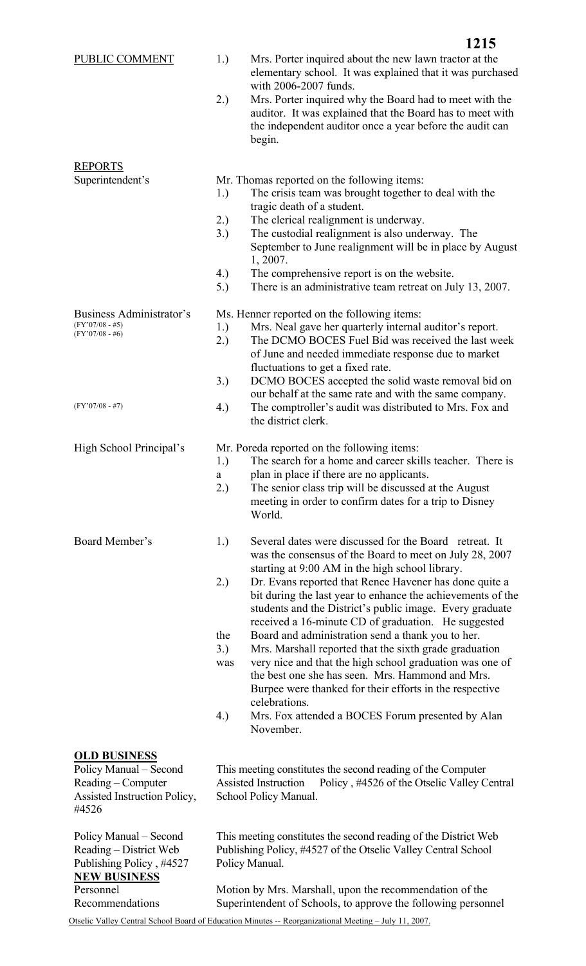|                                                                                                              | elementary school. It was explained that it was purchased<br>with 2006-2007 funds.<br>2.)<br>Mrs. Porter inquired why the Board had to meet with the<br>auditor. It was explained that the Board has to meet with<br>the independent auditor once a year before the audit can<br>begin.                                                                                                                                                                                                                                                                                                                                                                                                                                                                                                                                                 |
|--------------------------------------------------------------------------------------------------------------|-----------------------------------------------------------------------------------------------------------------------------------------------------------------------------------------------------------------------------------------------------------------------------------------------------------------------------------------------------------------------------------------------------------------------------------------------------------------------------------------------------------------------------------------------------------------------------------------------------------------------------------------------------------------------------------------------------------------------------------------------------------------------------------------------------------------------------------------|
| <b>REPORTS</b><br>Superintendent's                                                                           | Mr. Thomas reported on the following items:<br>1.)<br>The crisis team was brought together to deal with the<br>tragic death of a student.<br>2.)<br>The clerical realignment is underway.<br>3.)<br>The custodial realignment is also underway. The<br>September to June realignment will be in place by August<br>1, 2007.<br>4.)<br>The comprehensive report is on the website.<br>There is an administrative team retreat on July 13, 2007.<br>5.)                                                                                                                                                                                                                                                                                                                                                                                   |
| Business Administrator's<br>$(FY'07/08 - #5)$<br>$(FY'07/08 - #6)$                                           | Ms. Henner reported on the following items:<br>Mrs. Neal gave her quarterly internal auditor's report.<br>1.)<br>The DCMO BOCES Fuel Bid was received the last week<br>2.)<br>of June and needed immediate response due to market<br>fluctuations to get a fixed rate.<br>3.)<br>DCMO BOCES accepted the solid waste removal bid on<br>our behalf at the same rate and with the same company.                                                                                                                                                                                                                                                                                                                                                                                                                                           |
| $(FY'07/08 - #7)$                                                                                            | 4.)<br>The comptroller's audit was distributed to Mrs. Fox and<br>the district clerk.                                                                                                                                                                                                                                                                                                                                                                                                                                                                                                                                                                                                                                                                                                                                                   |
| High School Principal's                                                                                      | Mr. Poreda reported on the following items:<br>The search for a home and career skills teacher. There is<br>1.)<br>plan in place if there are no applicants.<br>a<br>2.)<br>The senior class trip will be discussed at the August<br>meeting in order to confirm dates for a trip to Disney<br>World.                                                                                                                                                                                                                                                                                                                                                                                                                                                                                                                                   |
| Board Member's                                                                                               | Several dates were discussed for the Board retreat. It<br>1.)<br>was the consensus of the Board to meet on July 28, 2007<br>starting at 9:00 AM in the high school library.<br>2.)<br>Dr. Evans reported that Renee Havener has done quite a<br>bit during the last year to enhance the achievements of the<br>students and the District's public image. Every graduate<br>received a 16-minute CD of graduation. He suggested<br>the<br>Board and administration send a thank you to her.<br>3.)<br>Mrs. Marshall reported that the sixth grade graduation<br>very nice and that the high school graduation was one of<br>was<br>the best one she has seen. Mrs. Hammond and Mrs.<br>Burpee were thanked for their efforts in the respective<br>celebrations.<br>4.)<br>Mrs. Fox attended a BOCES Forum presented by Alan<br>November. |
| <b>OLD BUSINESS</b><br>Policy Manual – Second<br>Reading – Computer<br>Assisted Instruction Policy,<br>#4526 | This meeting constitutes the second reading of the Computer<br>Policy, #4526 of the Otselic Valley Central<br>Assisted Instruction<br>School Policy Manual.                                                                                                                                                                                                                                                                                                                                                                                                                                                                                                                                                                                                                                                                             |

This meeting constitutes the second reading of the District Web Publishing Policy, #4527 of the Otselic Valley Central School Policy Manual.

Motion by Mrs. Marshall, upon the recommendation of the Superintendent of Schools, to approve the following personnel

Policy Manual – Second Reading – District Web Publishing Policy , #4527

**NEW BUSINESS**

Recommendations

Personnel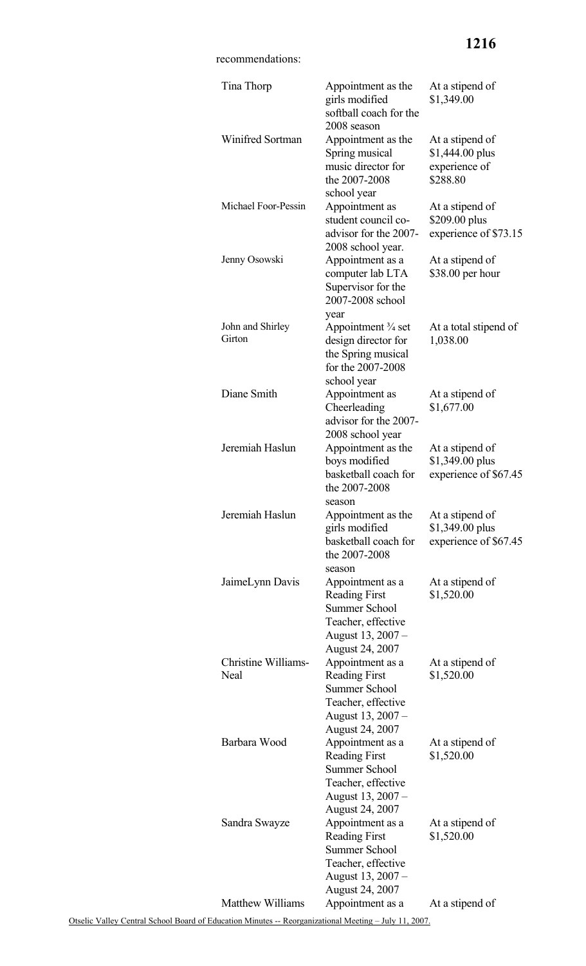# **1216**

# recommendations:

| Tina Thorp                         | Appointment as the<br>girls modified<br>softball coach for the<br>2008 season                                                         | At a stipend of<br>\$1,349.00                                   |
|------------------------------------|---------------------------------------------------------------------------------------------------------------------------------------|-----------------------------------------------------------------|
| Winifred Sortman                   | Appointment as the<br>Spring musical<br>music director for<br>the 2007-2008<br>school year                                            | At a stipend of<br>\$1,444.00 plus<br>experience of<br>\$288.80 |
| Michael Foor-Pessin                | Appointment as<br>student council co-<br>advisor for the 2007-<br>2008 school year.                                                   | At a stipend of<br>\$209.00 plus<br>experience of \$73.15       |
| Jenny Osowski                      | Appointment as a<br>computer lab LTA<br>Supervisor for the<br>2007-2008 school<br>year                                                | At a stipend of<br>\$38.00 per hour                             |
| John and Shirley<br>Girton         | Appointment <sup>3</sup> / <sub>4</sub> set<br>design director for<br>the Spring musical<br>for the 2007-2008<br>school year          | At a total stipend of<br>1,038.00                               |
| Diane Smith                        | Appointment as<br>Cheerleading<br>advisor for the 2007-<br>2008 school year                                                           | At a stipend of<br>\$1,677.00                                   |
| Jeremiah Haslun                    | Appointment as the<br>boys modified<br>basketball coach for<br>the 2007-2008<br>season                                                | At a stipend of<br>\$1,349.00 plus<br>experience of \$67.45     |
| Jeremiah Haslun                    | Appointment as the<br>girls modified<br>basketball coach for<br>the 2007-2008<br>season                                               | At a stipend of<br>\$1,349.00 plus<br>experience of \$67.45     |
| JaimeLynn Davis                    | Appointment as a<br><b>Reading First</b><br><b>Summer School</b><br>Teacher, effective<br>August 13, 2007 -<br><b>August 24, 2007</b> | At a stipend of<br>\$1,520.00                                   |
| Christine Williams-<br><b>Neal</b> | Appointment as a<br><b>Reading First</b><br><b>Summer School</b><br>Teacher, effective<br>August 13, 2007 -<br><b>August 24, 2007</b> | At a stipend of<br>\$1,520.00                                   |
| Barbara Wood                       | Appointment as a<br><b>Reading First</b><br><b>Summer School</b><br>Teacher, effective<br>August 13, 2007 -<br><b>August 24, 2007</b> | At a stipend of<br>\$1,520.00                                   |
| Sandra Swayze                      | Appointment as a<br><b>Reading First</b><br><b>Summer School</b><br>Teacher, effective<br>August 13, 2007 -<br>August 24, 2007        | At a stipend of<br>\$1,520.00                                   |
| <b>Matthew Williams</b>            | Appointment as a                                                                                                                      | At a stipend of                                                 |

Otselic Valley Central School Board of Education Minutes -- Reorganizational Meeting – July 11, 2007.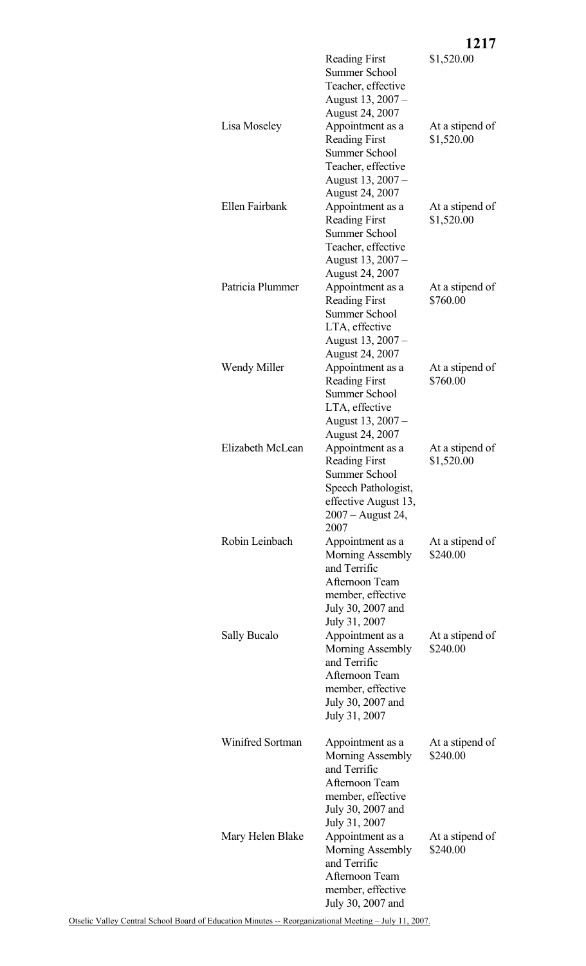|                     |                                                                                                                                                                         | 1217                          |
|---------------------|-------------------------------------------------------------------------------------------------------------------------------------------------------------------------|-------------------------------|
|                     | <b>Reading First</b><br><b>Summer School</b><br>Teacher, effective                                                                                                      | \$1,520.00                    |
| Lisa Moseley        | August 13, 2007 –<br><b>August 24, 2007</b><br>Appointment as a<br><b>Reading First</b><br><b>Summer School</b><br>Teacher, effective<br>August 13, 2007 –              | At a stipend of<br>\$1,520.00 |
| Ellen Fairbank      | August 24, 2007<br>Appointment as a<br><b>Reading First</b><br><b>Summer School</b><br>Teacher, effective<br>August 13, 2007 -                                          | At a stipend of<br>\$1,520.00 |
| Patricia Plummer    | August 24, 2007<br>Appointment as a<br><b>Reading First</b><br><b>Summer School</b><br>LTA, effective                                                                   | At a stipend of<br>\$760.00   |
| Wendy Miller        | August 13, 2007 –<br>August 24, 2007<br>Appointment as a<br><b>Reading First</b><br><b>Summer School</b><br>LTA, effective                                              | At a stipend of<br>\$760.00   |
| Elizabeth McLean    | August 13, 2007 –<br>August 24, 2007<br>Appointment as a<br><b>Reading First</b><br>Summer School<br>Speech Pathologist,<br>effective August 13,                        | At a stipend of<br>\$1,520.00 |
| Robin Leinbach      | 2007 – August 24,<br>2007<br>Appointment as a<br>Morning Assembly<br>and Terrific<br>Afternoon Team<br>member, effective                                                | At a stipend of<br>\$240.00   |
| <b>Sally Bucalo</b> | July 30, 2007 and<br>July 31, 2007<br>Appointment as a<br>Morning Assembly<br>and Terrific<br>Afternoon Team<br>member, effective<br>July 30, 2007 and<br>July 31, 2007 | At a stipend of<br>\$240.00   |
| Winifred Sortman    | Appointment as a<br>Morning Assembly<br>and Terrific<br>Afternoon Team<br>member, effective<br>July 30, 2007 and                                                        | At a stipend of<br>\$240.00   |
| Mary Helen Blake    | July 31, 2007<br>Appointment as a<br>Morning Assembly<br>and Terrific<br>Afternoon Team<br>member, effective<br>July 30, 2007 and                                       | At a stipend of<br>\$240.00   |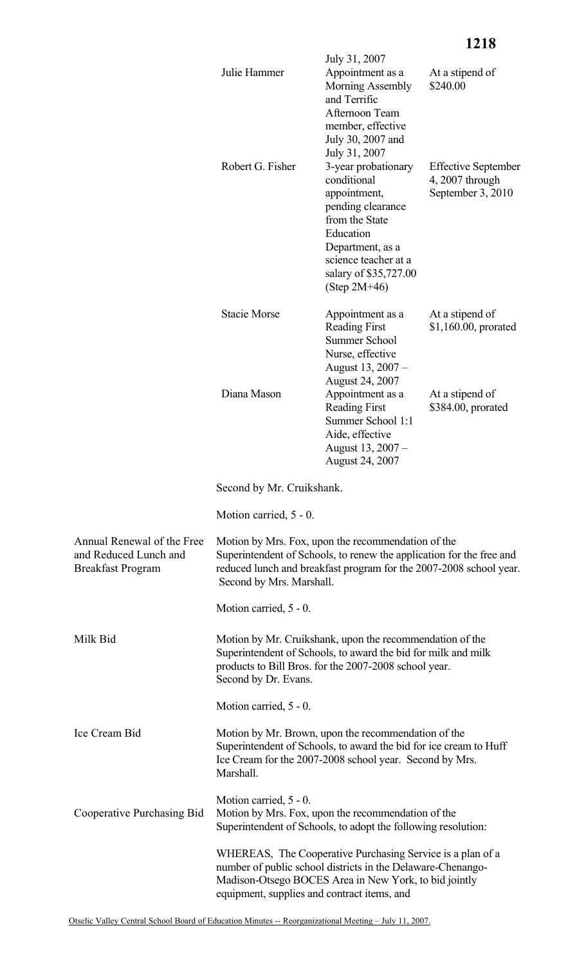|                                                                                 |                                                                                                                                                                                                            | July 31, 2007                                                                                                                                                                                 |                                                                    |
|---------------------------------------------------------------------------------|------------------------------------------------------------------------------------------------------------------------------------------------------------------------------------------------------------|-----------------------------------------------------------------------------------------------------------------------------------------------------------------------------------------------|--------------------------------------------------------------------|
|                                                                                 | Julie Hammer                                                                                                                                                                                               | Appointment as a<br>Morning Assembly<br>and Terrific<br>Afternoon Team<br>member, effective<br>July 30, 2007 and<br>July 31, 2007                                                             | At a stipend of<br>\$240.00                                        |
|                                                                                 | Robert G. Fisher                                                                                                                                                                                           | 3-year probationary<br>conditional<br>appointment,<br>pending clearance<br>from the State<br>Education<br>Department, as a<br>science teacher at a<br>salary of \$35,727.00<br>$(Step 2M+46)$ | <b>Effective September</b><br>4, 2007 through<br>September 3, 2010 |
|                                                                                 | <b>Stacie Morse</b>                                                                                                                                                                                        | Appointment as a<br><b>Reading First</b><br><b>Summer School</b><br>Nurse, effective<br>August 13, 2007 -<br>August 24, 2007                                                                  | At a stipend of<br>$$1,160.00$ , prorated                          |
|                                                                                 | Diana Mason                                                                                                                                                                                                | Appointment as a<br><b>Reading First</b><br>Summer School 1:1<br>Aide, effective<br>August 13, 2007 -<br>August 24, 2007                                                                      | At a stipend of<br>\$384.00, prorated                              |
|                                                                                 | Second by Mr. Cruikshank.                                                                                                                                                                                  |                                                                                                                                                                                               |                                                                    |
|                                                                                 | Motion carried, 5 - 0.                                                                                                                                                                                     |                                                                                                                                                                                               |                                                                    |
| Annual Renewal of the Free<br>and Reduced Lunch and<br><b>Breakfast Program</b> | Motion by Mrs. Fox, upon the recommendation of the<br>reduced lunch and breakfast program for the 2007-2008 school year.<br>Second by Mrs. Marshall.                                                       | Superintendent of Schools, to renew the application for the free and                                                                                                                          |                                                                    |
|                                                                                 | Motion carried, 5 - 0.                                                                                                                                                                                     |                                                                                                                                                                                               |                                                                    |
| Milk Bid                                                                        | Motion by Mr. Cruikshank, upon the recommendation of the<br>Superintendent of Schools, to award the bid for milk and milk<br>products to Bill Bros. for the 2007-2008 school year.<br>Second by Dr. Evans. |                                                                                                                                                                                               |                                                                    |
|                                                                                 | Motion carried, 5 - 0.                                                                                                                                                                                     |                                                                                                                                                                                               |                                                                    |
| Ice Cream Bid                                                                   | Motion by Mr. Brown, upon the recommendation of the<br>Superintendent of Schools, to award the bid for ice cream to Huff<br>Ice Cream for the 2007-2008 school year. Second by Mrs.<br>Marshall.           |                                                                                                                                                                                               |                                                                    |
| Cooperative Purchasing Bid                                                      | Motion carried, 5 - 0.<br>Motion by Mrs. Fox, upon the recommendation of the<br>Superintendent of Schools, to adopt the following resolution:                                                              |                                                                                                                                                                                               |                                                                    |
|                                                                                 | number of public school districts in the Delaware-Chenango-<br>Madison-Otsego BOCES Area in New York, to bid jointly<br>equipment, supplies and contract items, and                                        | WHEREAS, The Cooperative Purchasing Service is a plan of a                                                                                                                                    |                                                                    |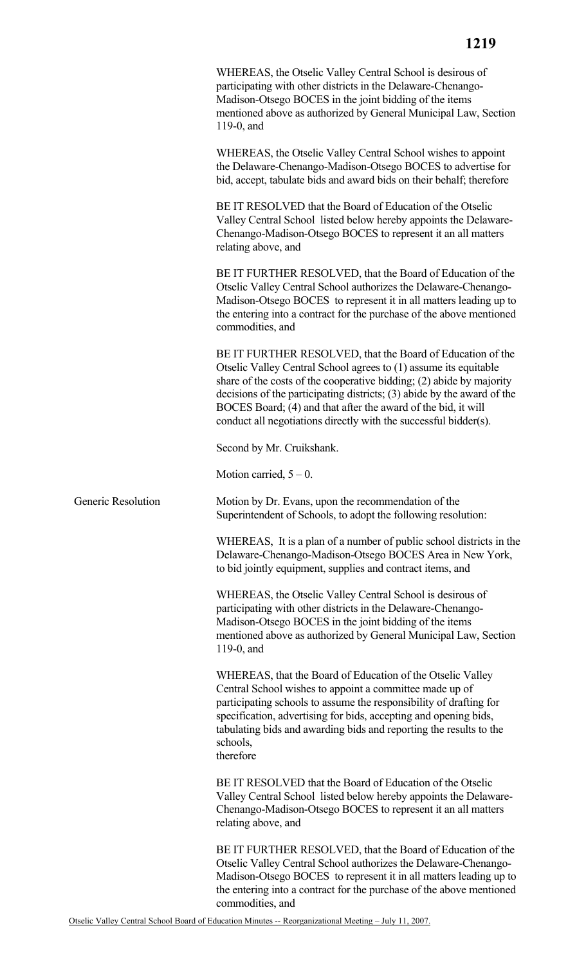|                                                                                                                                                                                                                                                                                                                                                                                                                        | 1219 |
|------------------------------------------------------------------------------------------------------------------------------------------------------------------------------------------------------------------------------------------------------------------------------------------------------------------------------------------------------------------------------------------------------------------------|------|
| WHEREAS, the Otselic Valley Central School is desirous of<br>participating with other districts in the Delaware-Chenango-<br>Madison-Otsego BOCES in the joint bidding of the items<br>mentioned above as authorized by General Municipal Law, Section<br>119-0, and                                                                                                                                                   |      |
| WHEREAS, the Otselic Valley Central School wishes to appoint<br>the Delaware-Chenango-Madison-Otsego BOCES to advertise for<br>bid, accept, tabulate bids and award bids on their behalf; therefore                                                                                                                                                                                                                    |      |
| BE IT RESOLVED that the Board of Education of the Otselic<br>Valley Central School listed below hereby appoints the Delaware-<br>Chenango-Madison-Otsego BOCES to represent it an all matters<br>relating above, and                                                                                                                                                                                                   |      |
| BE IT FURTHER RESOLVED, that the Board of Education of the<br>Otselic Valley Central School authorizes the Delaware-Chenango-<br>Madison-Otsego BOCES to represent it in all matters leading up to<br>the entering into a contract for the purchase of the above mentioned<br>commodities, and                                                                                                                         |      |
| BE IT FURTHER RESOLVED, that the Board of Education of the<br>Otselic Valley Central School agrees to (1) assume its equitable<br>share of the costs of the cooperative bidding; (2) abide by majority<br>decisions of the participating districts; (3) abide by the award of the<br>BOCES Board; (4) and that after the award of the bid, it will<br>conduct all negotiations directly with the successful bidder(s). |      |
| Second by Mr. Cruikshank.                                                                                                                                                                                                                                                                                                                                                                                              |      |
| Motion carried, $5 - 0$ .                                                                                                                                                                                                                                                                                                                                                                                              |      |
| Motion by Dr. Evans, upon the recommendation of the<br>Superintendent of Schools, to adopt the following resolution:                                                                                                                                                                                                                                                                                                   |      |
| $\ldots$ . The same $\mathcal{L}$ and $\mathcal{L}$ is the set of $\mathcal{L}$                                                                                                                                                                                                                                                                                                                                        |      |

WHEREAS, It is a plan of a number of public school districts in the Delaware-Chenango-Madison-Otsego BOCES Area in New York, to bid jointly equipment, supplies and contract items, and

WHEREAS, the Otselic Valley Central School is desirous of participating with other districts in the Delaware-Chenango-Madison-Otsego BOCES in the joint bidding of the items mentioned above as authorized by General Municipal Law, Section 119-0, and

WHEREAS, that the Board of Education of the Otselic Valley Central School wishes to appoint a committee made up of participating schools to assume the responsibility of drafting for specification, advertising for bids, accepting and opening bids, tabulating bids and awarding bids and reporting the results to the schools, therefore

BE IT RESOLVED that the Board of Education of the Otselic Valley Central School listed below hereby appoints the Delaware-Chenango-Madison-Otsego BOCES to represent it an all matters relating above, and

BE IT FURTHER RESOLVED, that the Board of Education of the Otselic Valley Central School authorizes the Delaware-Chenango-Madison-Otsego BOCES to represent it in all matters leading up to the entering into a contract for the purchase of the above mentioned commodities, and

Generic Resolution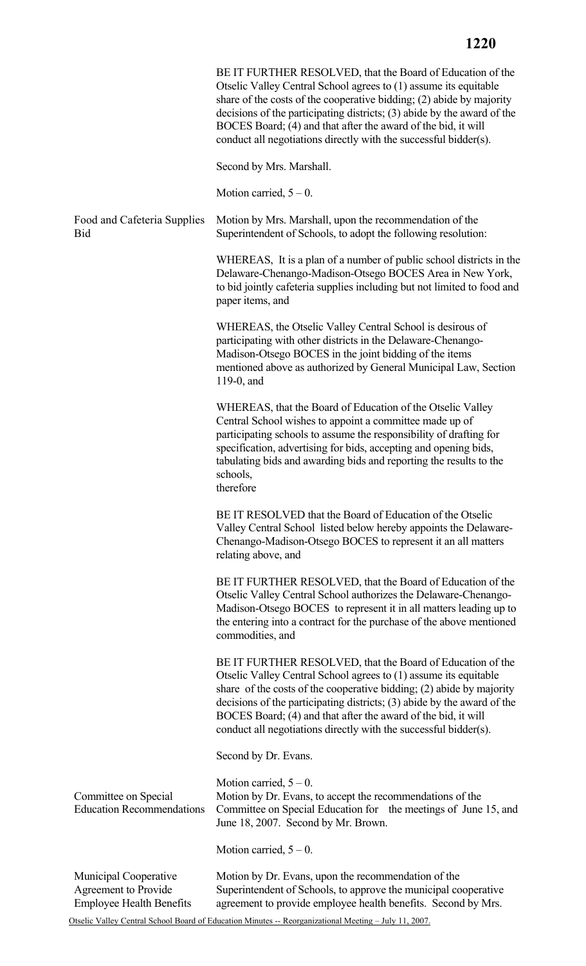|                                                                                         | BE IT FURTHER RESOLVED, that the Board of Education of the<br>Otselic Valley Central School agrees to (1) assume its equitable<br>share of the costs of the cooperative bidding; (2) abide by majority<br>decisions of the participating districts; (3) abide by the award of the<br>BOCES Board; (4) and that after the award of the bid, it will<br>conduct all negotiations directly with the successful bidder(s). |
|-----------------------------------------------------------------------------------------|------------------------------------------------------------------------------------------------------------------------------------------------------------------------------------------------------------------------------------------------------------------------------------------------------------------------------------------------------------------------------------------------------------------------|
|                                                                                         | Second by Mrs. Marshall.                                                                                                                                                                                                                                                                                                                                                                                               |
|                                                                                         | Motion carried, $5 - 0$ .                                                                                                                                                                                                                                                                                                                                                                                              |
| Food and Cafeteria Supplies<br>Bid                                                      | Motion by Mrs. Marshall, upon the recommendation of the<br>Superintendent of Schools, to adopt the following resolution:                                                                                                                                                                                                                                                                                               |
|                                                                                         | WHEREAS, It is a plan of a number of public school districts in the<br>Delaware-Chenango-Madison-Otsego BOCES Area in New York,<br>to bid jointly cafeteria supplies including but not limited to food and<br>paper items, and                                                                                                                                                                                         |
|                                                                                         | WHEREAS, the Otselic Valley Central School is desirous of<br>participating with other districts in the Delaware-Chenango-<br>Madison-Otsego BOCES in the joint bidding of the items<br>mentioned above as authorized by General Municipal Law, Section<br>119-0, and                                                                                                                                                   |
|                                                                                         | WHEREAS, that the Board of Education of the Otselic Valley<br>Central School wishes to appoint a committee made up of<br>participating schools to assume the responsibility of drafting for<br>specification, advertising for bids, accepting and opening bids,<br>tabulating bids and awarding bids and reporting the results to the<br>schools,<br>therefore                                                         |
|                                                                                         | BE IT RESOLVED that the Board of Education of the Otselic<br>Valley Central School listed below hereby appoints the Delaware-<br>Chenango-Madison-Otsego BOCES to represent it an all matters<br>relating above, and                                                                                                                                                                                                   |
|                                                                                         | BE IT FURTHER RESOLVED, that the Board of Education of the<br>Otselic Valley Central School authorizes the Delaware-Chenango-<br>Madison-Otsego BOCES to represent it in all matters leading up to<br>the entering into a contract for the purchase of the above mentioned<br>commodities, and                                                                                                                         |
|                                                                                         | BE IT FURTHER RESOLVED, that the Board of Education of the<br>Otselic Valley Central School agrees to (1) assume its equitable<br>share of the costs of the cooperative bidding; (2) abide by majority<br>decisions of the participating districts; (3) abide by the award of the<br>BOCES Board; (4) and that after the award of the bid, it will<br>conduct all negotiations directly with the successful bidder(s). |
|                                                                                         | Second by Dr. Evans.                                                                                                                                                                                                                                                                                                                                                                                                   |
| Committee on Special<br><b>Education Recommendations</b>                                | Motion carried, $5 - 0$ .<br>Motion by Dr. Evans, to accept the recommendations of the<br>Committee on Special Education for the meetings of June 15, and<br>June 18, 2007. Second by Mr. Brown.                                                                                                                                                                                                                       |
|                                                                                         | Motion carried, $5 - 0$ .                                                                                                                                                                                                                                                                                                                                                                                              |
| <b>Municipal Cooperative</b><br>Agreement to Provide<br><b>Employee Health Benefits</b> | Motion by Dr. Evans, upon the recommendation of the<br>Superintendent of Schools, to approve the municipal cooperative<br>agreement to provide employee health benefits. Second by Mrs.                                                                                                                                                                                                                                |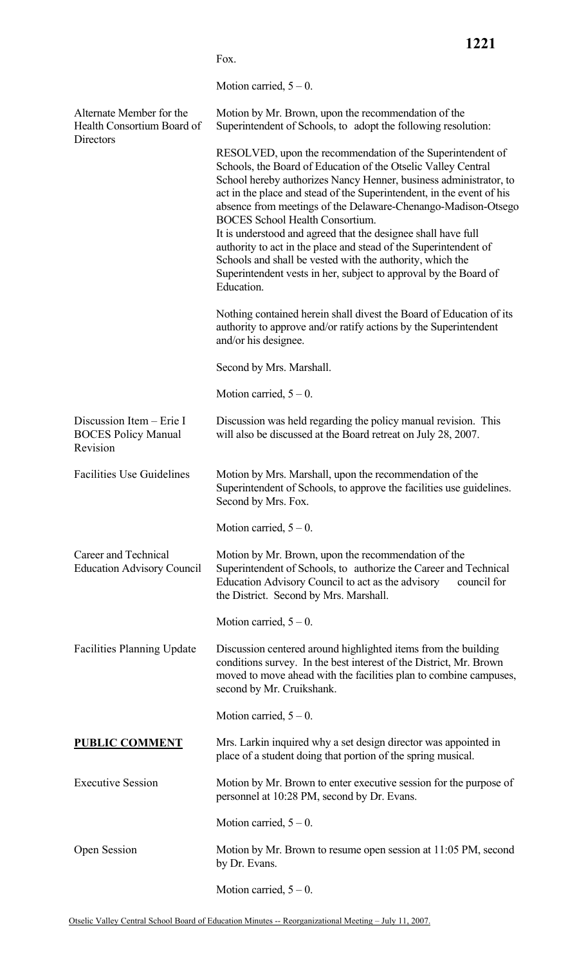|                                                                    | Motion carried, $5 - 0$ .                                                                                                                                                                                                                                                                                                                                                                                                                                                                                                                                                                                                                                                |
|--------------------------------------------------------------------|--------------------------------------------------------------------------------------------------------------------------------------------------------------------------------------------------------------------------------------------------------------------------------------------------------------------------------------------------------------------------------------------------------------------------------------------------------------------------------------------------------------------------------------------------------------------------------------------------------------------------------------------------------------------------|
| Alternate Member for the<br>Health Consortium Board of             | Motion by Mr. Brown, upon the recommendation of the<br>Superintendent of Schools, to adopt the following resolution:                                                                                                                                                                                                                                                                                                                                                                                                                                                                                                                                                     |
| Directors                                                          | RESOLVED, upon the recommendation of the Superintendent of<br>Schools, the Board of Education of the Otselic Valley Central<br>School hereby authorizes Nancy Henner, business administrator, to<br>act in the place and stead of the Superintendent, in the event of his<br>absence from meetings of the Delaware-Chenango-Madison-Otsego<br><b>BOCES</b> School Health Consortium.<br>It is understood and agreed that the designee shall have full<br>authority to act in the place and stead of the Superintendent of<br>Schools and shall be vested with the authority, which the<br>Superintendent vests in her, subject to approval by the Board of<br>Education. |
|                                                                    | Nothing contained herein shall divest the Board of Education of its<br>authority to approve and/or ratify actions by the Superintendent<br>and/or his designee.                                                                                                                                                                                                                                                                                                                                                                                                                                                                                                          |
|                                                                    | Second by Mrs. Marshall.                                                                                                                                                                                                                                                                                                                                                                                                                                                                                                                                                                                                                                                 |
|                                                                    | Motion carried, $5 - 0$ .                                                                                                                                                                                                                                                                                                                                                                                                                                                                                                                                                                                                                                                |
| Discussion Item - Erie I<br><b>BOCES Policy Manual</b><br>Revision | Discussion was held regarding the policy manual revision. This<br>will also be discussed at the Board retreat on July 28, 2007.                                                                                                                                                                                                                                                                                                                                                                                                                                                                                                                                          |
| <b>Facilities Use Guidelines</b>                                   | Motion by Mrs. Marshall, upon the recommendation of the<br>Superintendent of Schools, to approve the facilities use guidelines.<br>Second by Mrs. Fox.                                                                                                                                                                                                                                                                                                                                                                                                                                                                                                                   |
|                                                                    | Motion carried, $5 - 0$ .                                                                                                                                                                                                                                                                                                                                                                                                                                                                                                                                                                                                                                                |
| Career and Technical<br><b>Education Advisory Council</b>          | Motion by Mr. Brown, upon the recommendation of the<br>Superintendent of Schools, to authorize the Career and Technical<br>Education Advisory Council to act as the advisory<br>council for<br>the District. Second by Mrs. Marshall.                                                                                                                                                                                                                                                                                                                                                                                                                                    |
|                                                                    | Motion carried, $5 - 0$ .                                                                                                                                                                                                                                                                                                                                                                                                                                                                                                                                                                                                                                                |
| <b>Facilities Planning Update</b>                                  | Discussion centered around highlighted items from the building<br>conditions survey. In the best interest of the District, Mr. Brown<br>moved to move ahead with the facilities plan to combine campuses,<br>second by Mr. Cruikshank.                                                                                                                                                                                                                                                                                                                                                                                                                                   |
|                                                                    | Motion carried, $5 - 0$ .                                                                                                                                                                                                                                                                                                                                                                                                                                                                                                                                                                                                                                                |
| <b>PUBLIC COMMENT</b>                                              | Mrs. Larkin inquired why a set design director was appointed in<br>place of a student doing that portion of the spring musical.                                                                                                                                                                                                                                                                                                                                                                                                                                                                                                                                          |
| <b>Executive Session</b>                                           | Motion by Mr. Brown to enter executive session for the purpose of<br>personnel at 10:28 PM, second by Dr. Evans.                                                                                                                                                                                                                                                                                                                                                                                                                                                                                                                                                         |
|                                                                    | Motion carried, $5 - 0$ .                                                                                                                                                                                                                                                                                                                                                                                                                                                                                                                                                                                                                                                |
| Open Session                                                       | Motion by Mr. Brown to resume open session at 11:05 PM, second<br>by Dr. Evans.                                                                                                                                                                                                                                                                                                                                                                                                                                                                                                                                                                                          |

Fox.

**1221**

Motion carried,  $5 - 0$ .